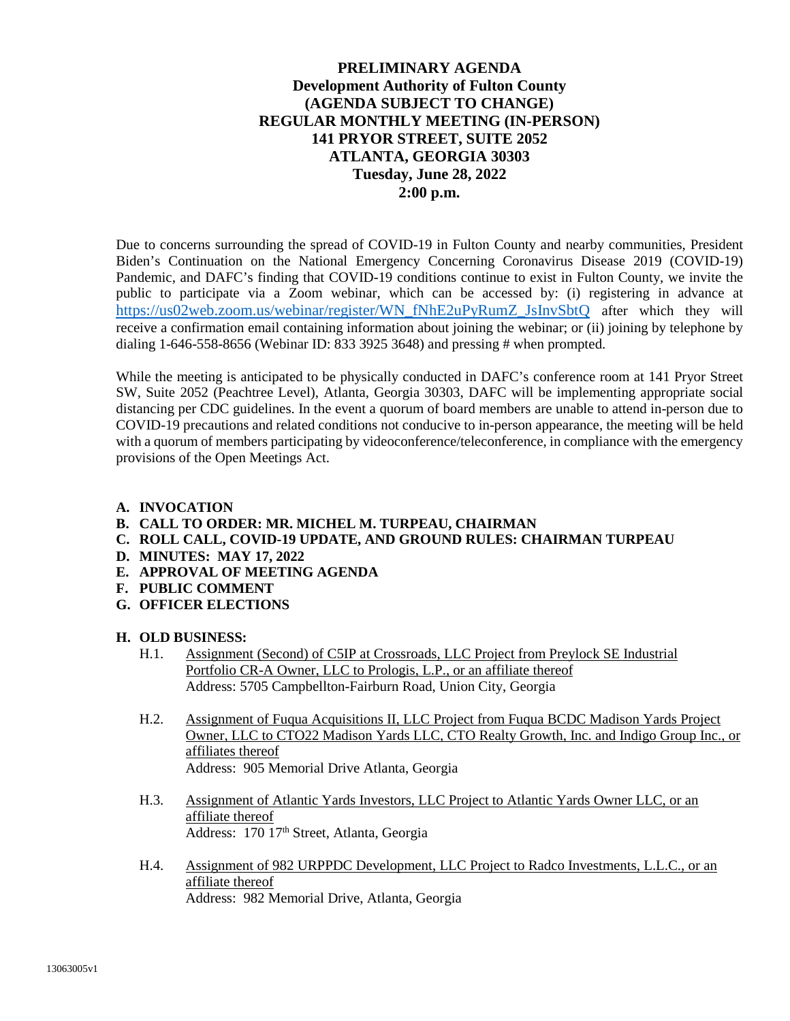### **PRELIMINARY AGENDA Development Authority of Fulton County (AGENDA SUBJECT TO CHANGE) REGULAR MONTHLY MEETING (IN-PERSON) 141 PRYOR STREET, SUITE 2052 ATLANTA, GEORGIA 30303 Tuesday, June 28, 2022 2:00 p.m.**

Due to concerns surrounding the spread of COVID-19 in Fulton County and nearby communities, President Biden's Continuation on the National Emergency Concerning Coronavirus Disease 2019 (COVID-19) Pandemic, and DAFC's finding that COVID-19 conditions continue to exist in Fulton County, we invite the public to participate via a Zoom webinar, which can be accessed by: (i) registering in advance at https://us02web.zoom.us/webinar/register/WN\_fNhE2uPyRumZ\_JsInvSbtQ after which they will receive a confirmation email containing information about joining the webinar; or (ii) joining by telephone by dialing  $1-646-558-8656$  (Webinar ID: 833 3925 3648) and pressing # when prompted.

While the meeting is anticipated to be physically conducted in DAFC's conference room at 141 Pryor Street SW, Suite 2052 (Peachtree Level), Atlanta, Georgia 30303, DAFC will be implementing appropriate social distancing per CDC guidelines. In the event a quorum of board members are unable to attend in-person due to COVID-19 precautions and related conditions not conducive to in-person appearance, the meeting will be held with a quorum of members participating by videoconference/teleconference, in compliance with the emergency provisions of the Open Meetings Act.

#### **A. INVOCATION**

- **B. CALL TO ORDER: MR. MICHEL M. TURPEAU, CHAIRMAN**
- **C. ROLL CALL, COVID-19 UPDATE, AND GROUND RULES: CHAIRMAN TURPEAU**
- **D. MINUTES: MAY 17, 2022**
- **E. APPROVAL OF MEETING AGENDA**
- **F. PUBLIC COMMENT**
- **G. OFFICER ELECTIONS**

#### **H. OLD BUSINESS:**

- H.1. Assignment (Second) of C5IP at Crossroads, LLC Project from Preylock SE Industrial Portfolio CR-A Owner, LLC to Prologis, L.P., or an affiliate thereof Address: 5705 Campbellton-Fairburn Road, Union City, Georgia
- H.2. Assignment of Fuqua Acquisitions II, LLC Project from Fuqua BCDC Madison Yards Project Owner, LLC to CTO22 Madison Yards LLC, CTO Realty Growth, Inc. and Indigo Group Inc., or affiliates thereof Address: 905 Memorial Drive Atlanta, Georgia
- H.3. Assignment of Atlantic Yards Investors, LLC Project to Atlantic Yards Owner LLC, or an affiliate thereof Address: 170 17<sup>th</sup> Street, Atlanta, Georgia
- H.4. Assignment of 982 URPPDC Development, LLC Project to Radco Investments, L.L.C., or an affiliate thereof Address: 982 Memorial Drive, Atlanta, Georgia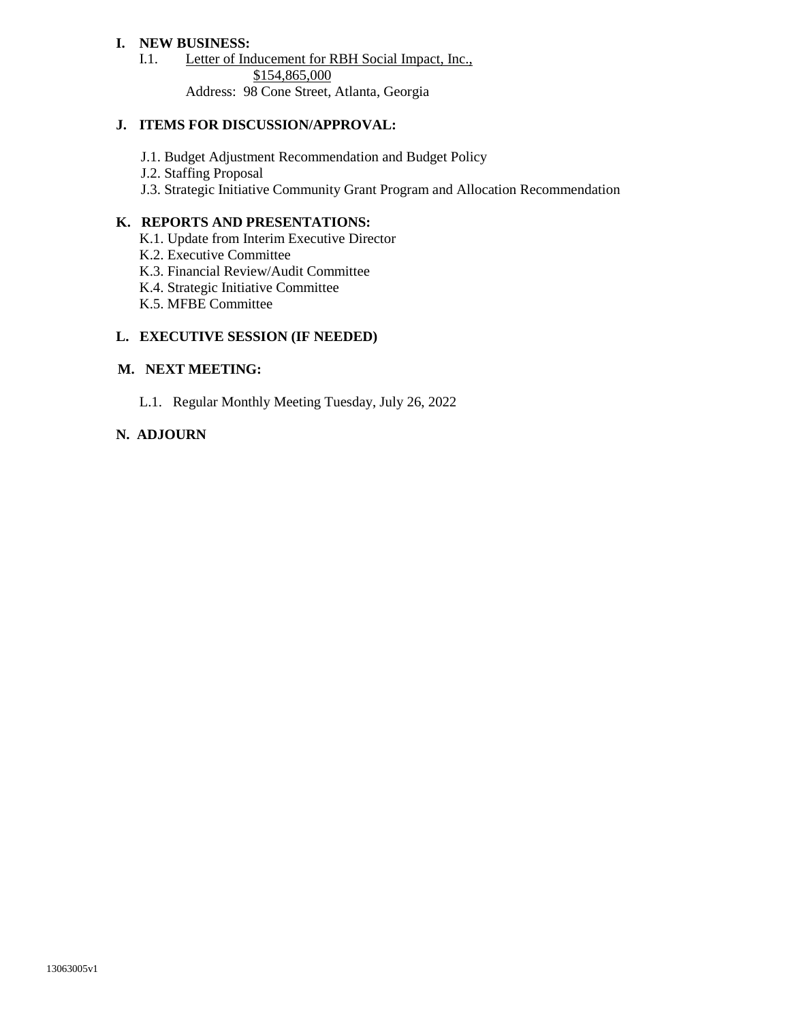### **I. NEW BUSINESS:**

I.1. Letter of Inducement for RBH Social Impact, Inc., \$154,865,000

Address: 98 Cone Street, Atlanta, Georgia

### **J. ITEMS FOR DISCUSSION/APPROVAL:**

- J.1. Budget Adjustment Recommendation and Budget Policy
- J.2. Staffing Proposal
- J.3. Strategic Initiative Community Grant Program and Allocation Recommendation

#### **K. REPORTS AND PRESENTATIONS:**

- K.1. Update from Interim Executive Director
- K.2. Executive Committee
- K.3. Financial Review/Audit Committee
- K.4. Strategic Initiative Committee
- K.5. MFBE Committee

### **L. EXECUTIVE SESSION (IF NEEDED)**

#### **M. NEXT MEETING:**

L.1. Regular Monthly Meeting Tuesday, July 26, 2022

### **N. ADJOURN**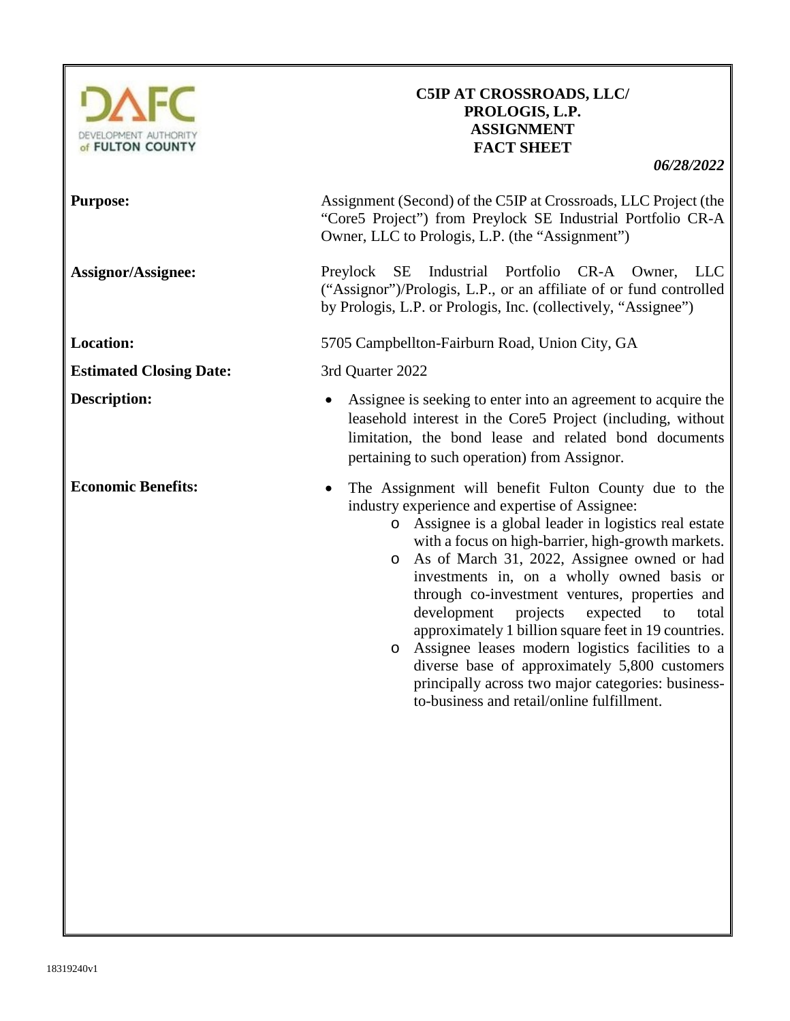

# **C5IP AT CROSSROADS, LLC/ PROLOGIS, L.P. ASSIGNMENT FACT SHEET**

| <b>Purpose:</b>                | Assignment (Second) of the C5IP at Crossroads, LLC Project (the<br>"Core5 Project") from Preylock SE Industrial Portfolio CR-A<br>Owner, LLC to Prologis, L.P. (the "Assignment")                                                                                                                                                                                                                                                                                                                                                                                                                                                                                                                               |
|--------------------------------|-----------------------------------------------------------------------------------------------------------------------------------------------------------------------------------------------------------------------------------------------------------------------------------------------------------------------------------------------------------------------------------------------------------------------------------------------------------------------------------------------------------------------------------------------------------------------------------------------------------------------------------------------------------------------------------------------------------------|
| <b>Assignor/Assignee:</b>      | Industrial Portfolio CR-A Owner,<br>Preylock SE<br>LLC<br>("Assignor")/Prologis, L.P., or an affiliate of or fund controlled<br>by Prologis, L.P. or Prologis, Inc. (collectively, "Assignee")                                                                                                                                                                                                                                                                                                                                                                                                                                                                                                                  |
| <b>Location:</b>               | 5705 Campbellton-Fairburn Road, Union City, GA                                                                                                                                                                                                                                                                                                                                                                                                                                                                                                                                                                                                                                                                  |
| <b>Estimated Closing Date:</b> | 3rd Quarter 2022                                                                                                                                                                                                                                                                                                                                                                                                                                                                                                                                                                                                                                                                                                |
| <b>Description:</b>            | Assignee is seeking to enter into an agreement to acquire the<br>leasehold interest in the Core5 Project (including, without<br>limitation, the bond lease and related bond documents<br>pertaining to such operation) from Assignor.                                                                                                                                                                                                                                                                                                                                                                                                                                                                           |
| <b>Economic Benefits:</b>      | The Assignment will benefit Fulton County due to the<br>industry experience and expertise of Assignee:<br>Assignee is a global leader in logistics real estate<br>$\circ$<br>with a focus on high-barrier, high-growth markets.<br>As of March 31, 2022, Assignee owned or had<br>$\circ$<br>investments in, on a wholly owned basis or<br>through co-investment ventures, properties and<br>development projects<br>expected<br>to<br>total<br>approximately 1 billion square feet in 19 countries.<br>o Assignee leases modern logistics facilities to a<br>diverse base of approximately 5,800 customers<br>principally across two major categories: business-<br>to-business and retail/online fulfillment. |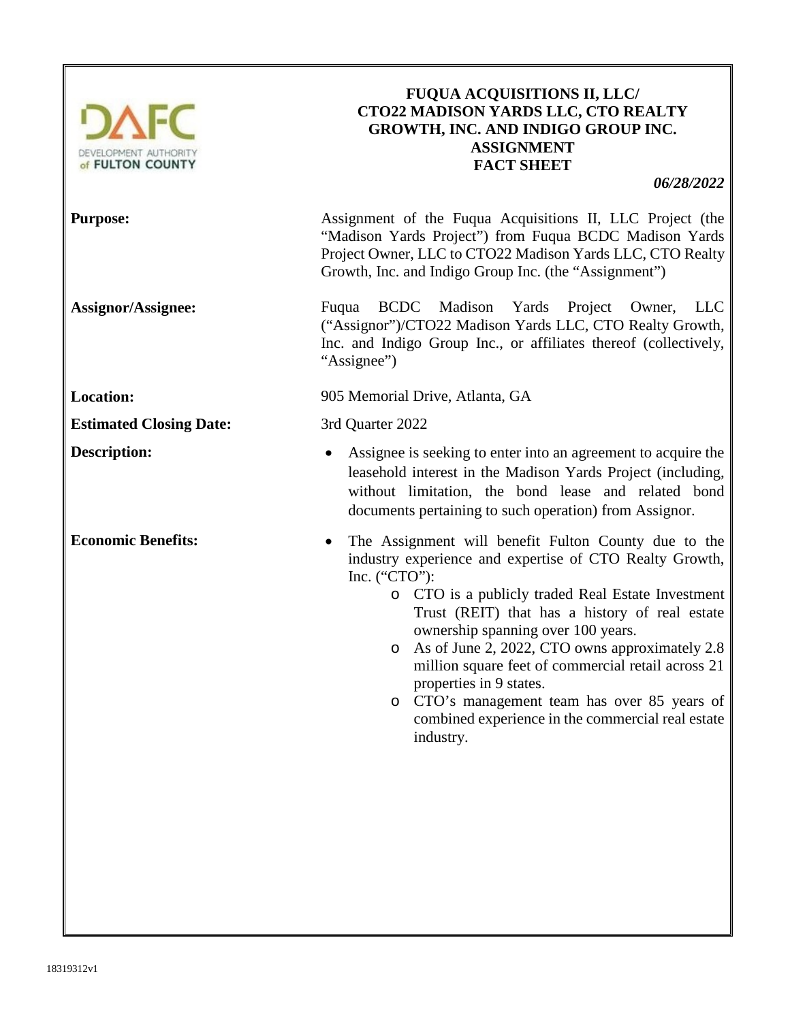

# **FUQUA ACQUISITIONS II, LLC/ CTO22 MADISON YARDS LLC, CTO REALTY GROWTH, INC. AND INDIGO GROUP INC. ASSIGNMENT FACT SHEET**

*06/28/2022*

**Purpose:** Assignment of the Fuqua Acquisitions II, LLC Project (the "Madison Yards Project") from Fuqua BCDC Madison Yards Project Owner, LLC to CTO22 Madison Yards LLC, CTO Realty Growth, Inc. and Indigo Group Inc. (the "Assignment")

**Assignor/Assignee:** Fuqua BCDC Madison Yards Project Owner, LLC ("Assignor")/CTO22 Madison Yards LLC, CTO Realty Growth, Inc. and Indigo Group Inc., or affiliates thereof (collectively, "Assignee")

**Location:** 905 Memorial Drive, Atlanta, GA

- **Description:** Assignee is seeking to enter into an agreement to acquire the leasehold interest in the Madison Yards Project (including, without limitation, the bond lease and related bond documents pertaining to such operation) from Assignor.
- **Economic Benefits:** The Assignment will benefit Fulton County due to the industry experience and expertise of CTO Realty Growth, Inc. ("CTO"):
	- o CTO is a publicly traded Real Estate Investment Trust (REIT) that has a history of real estate ownership spanning over 100 years.
	- o As of June 2, 2022, CTO owns approximately 2.8 million square feet of commercial retail across 21 properties in 9 states.
	- o CTO's management team has over 85 years of combined experience in the commercial real estate industry.

**Estimated Closing Date:** 3rd Quarter 2022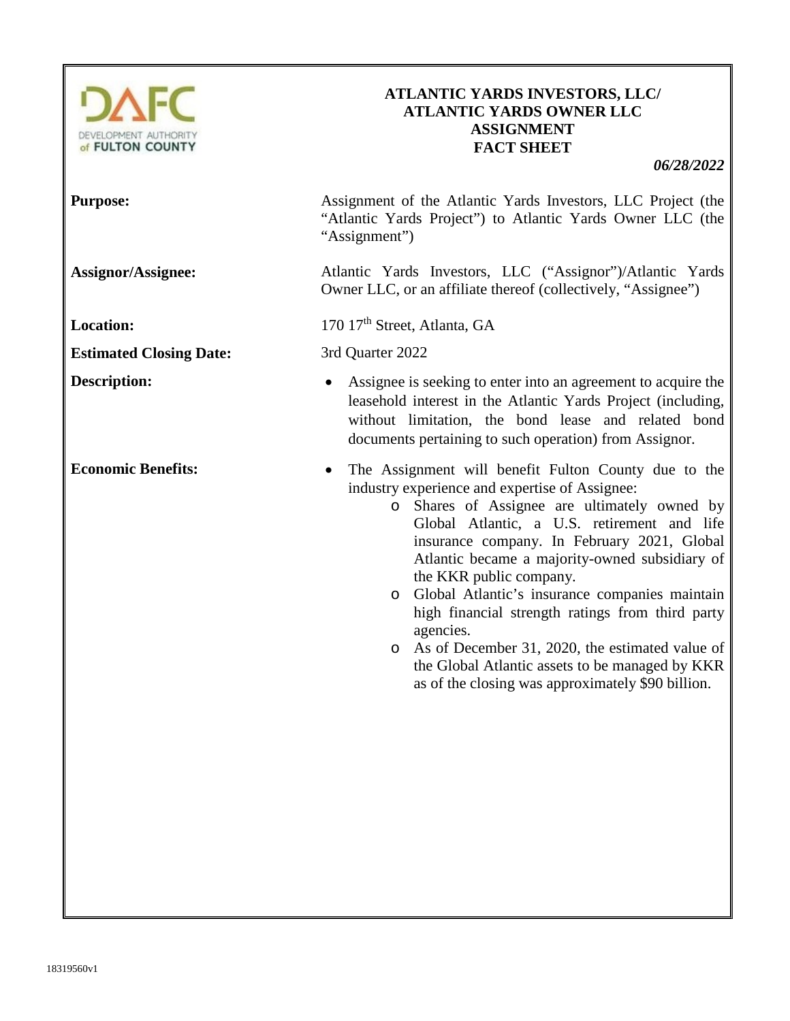

## **ATLANTIC YARDS INVESTORS, LLC/ ATLANTIC YARDS OWNER LLC ASSIGNMENT FACT SHEET**

| <b>Purpose:</b>                | Assignment of the Atlantic Yards Investors, LLC Project (the<br>"Atlantic Yards Project") to Atlantic Yards Owner LLC (the<br>"Assignment")                                                                                                                                                                                                                                                                                                                                                                                                                                                                         |
|--------------------------------|---------------------------------------------------------------------------------------------------------------------------------------------------------------------------------------------------------------------------------------------------------------------------------------------------------------------------------------------------------------------------------------------------------------------------------------------------------------------------------------------------------------------------------------------------------------------------------------------------------------------|
| <b>Assignor/Assignee:</b>      | Atlantic Yards Investors, LLC ("Assignor")/Atlantic Yards<br>Owner LLC, or an affiliate thereof (collectively, "Assignee")                                                                                                                                                                                                                                                                                                                                                                                                                                                                                          |
| <b>Location:</b>               | 170 17 <sup>th</sup> Street, Atlanta, GA                                                                                                                                                                                                                                                                                                                                                                                                                                                                                                                                                                            |
| <b>Estimated Closing Date:</b> | 3rd Quarter 2022                                                                                                                                                                                                                                                                                                                                                                                                                                                                                                                                                                                                    |
| <b>Description:</b>            | Assignee is seeking to enter into an agreement to acquire the<br>leasehold interest in the Atlantic Yards Project (including,<br>without limitation, the bond lease and related bond<br>documents pertaining to such operation) from Assignor.                                                                                                                                                                                                                                                                                                                                                                      |
| <b>Economic Benefits:</b>      | The Assignment will benefit Fulton County due to the<br>industry experience and expertise of Assignee:<br>o Shares of Assignee are ultimately owned by<br>Global Atlantic, a U.S. retirement and life<br>insurance company. In February 2021, Global<br>Atlantic became a majority-owned subsidiary of<br>the KKR public company.<br>o Global Atlantic's insurance companies maintain<br>high financial strength ratings from third party<br>agencies.<br>o As of December 31, 2020, the estimated value of<br>the Global Atlantic assets to be managed by KKR<br>as of the closing was approximately \$90 billion. |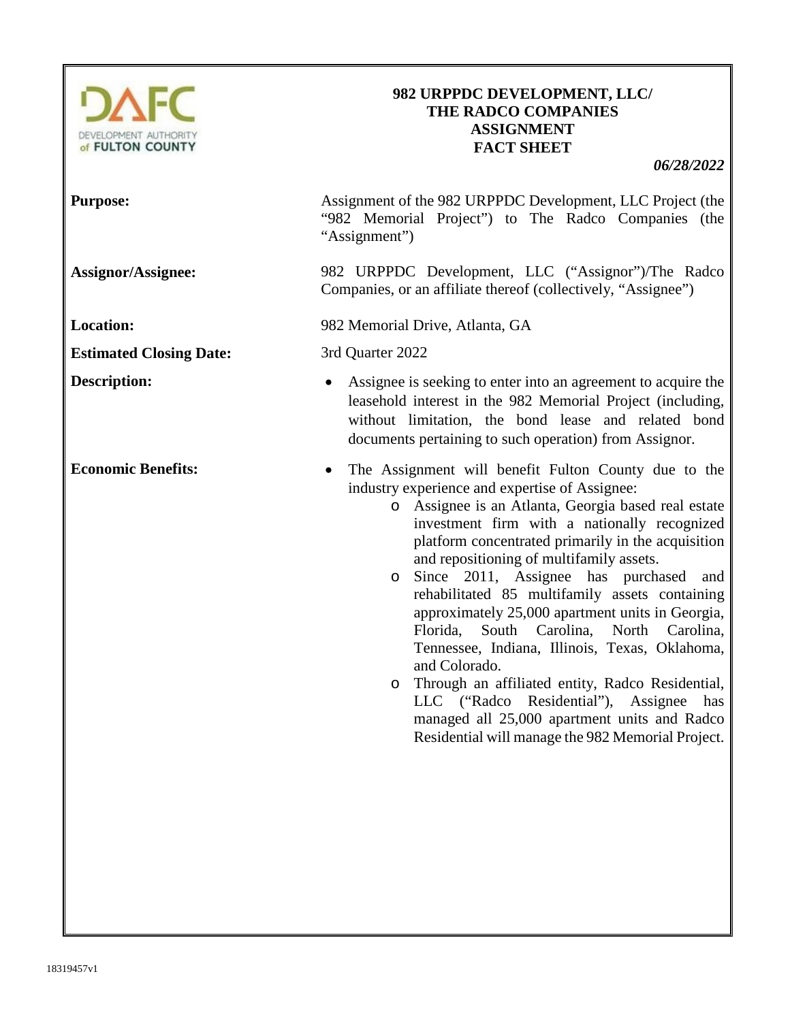

## **982 URPPDC DEVELOPMENT, LLC/ THE RADCO COMPANIES ASSIGNMENT FACT SHEET**

| <b>Purpose:</b>                | Assignment of the 982 URPPDC Development, LLC Project (the<br>"982 Memorial Project") to The Radco Companies (the<br>"Assignment")                                                                                                                                                                                                                                                                                                                                                                                                                                                                                                                                                                                                                                                                                          |
|--------------------------------|-----------------------------------------------------------------------------------------------------------------------------------------------------------------------------------------------------------------------------------------------------------------------------------------------------------------------------------------------------------------------------------------------------------------------------------------------------------------------------------------------------------------------------------------------------------------------------------------------------------------------------------------------------------------------------------------------------------------------------------------------------------------------------------------------------------------------------|
| <b>Assignor/Assignee:</b>      | 982 URPPDC Development, LLC ("Assignor")/The Radco<br>Companies, or an affiliate thereof (collectively, "Assignee")                                                                                                                                                                                                                                                                                                                                                                                                                                                                                                                                                                                                                                                                                                         |
| <b>Location:</b>               | 982 Memorial Drive, Atlanta, GA                                                                                                                                                                                                                                                                                                                                                                                                                                                                                                                                                                                                                                                                                                                                                                                             |
| <b>Estimated Closing Date:</b> | 3rd Quarter 2022                                                                                                                                                                                                                                                                                                                                                                                                                                                                                                                                                                                                                                                                                                                                                                                                            |
| <b>Description:</b>            | Assignee is seeking to enter into an agreement to acquire the<br>leasehold interest in the 982 Memorial Project (including,<br>without limitation, the bond lease and related bond<br>documents pertaining to such operation) from Assignor.                                                                                                                                                                                                                                                                                                                                                                                                                                                                                                                                                                                |
| <b>Economic Benefits:</b>      | The Assignment will benefit Fulton County due to the<br>$\bullet$<br>industry experience and expertise of Assignee:<br>o Assignee is an Atlanta, Georgia based real estate<br>investment firm with a nationally recognized<br>platform concentrated primarily in the acquisition<br>and repositioning of multifamily assets.<br>Since 2011, Assignee has purchased<br>and<br>$\circ$<br>rehabilitated 85 multifamily assets containing<br>approximately 25,000 apartment units in Georgia,<br>Florida, South Carolina, North Carolina,<br>Tennessee, Indiana, Illinois, Texas, Oklahoma,<br>and Colorado.<br>Through an affiliated entity, Radco Residential,<br>$\circ$<br>LLC ("Radco Residential"), Assignee<br>has<br>managed all 25,000 apartment units and Radco<br>Residential will manage the 982 Memorial Project. |